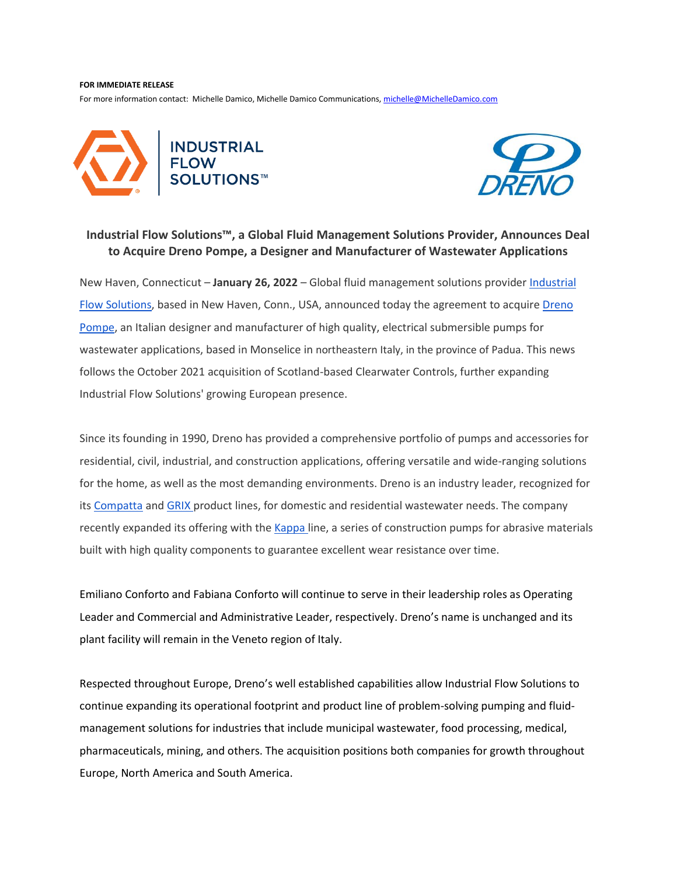## **FOR IMMEDIATE RELEASE**

For more information contact: Michelle Damico, Michelle Damico Communications[, michelle@MichelleDamico.com](mailto:michelle@MichelleDamico.com)





## **Industrial Flow Solutions™, a Global Fluid Management Solutions Provider, Announces Deal to Acquire Dreno Pompe, a Designer and Manufacturer of Wastewater Applications**

New Haven, Connecticut - January 26, 2022 - Global fluid management solutions provider *Industrial* [Flow Solutions,](https://flowsolutions.com/) based in New Haven, Conn., USA, announced today the agreement to acquir[e Dreno](https://www.drenopompe.it/en/)  [Pompe,](https://www.drenopompe.it/en/) an Italian designer and manufacturer of high quality, electrical submersible pumps for wastewater applications, based in Monselice in northeastern Italy, in the province of Padua. This news follows the October 2021 acquisition of Scotland-based Clearwater Controls, further expanding Industrial Flow Solutions' growing European presence.

Since its founding in 1990, Dreno has provided a comprehensive portfolio of pumps and accessories for residential, civil, industrial, and construction applications, offering versatile and wide-ranging solutions for the home, as well as the most demanding environments. Dreno is an industry leader, recognized for its [Compatta](https://www.drenopompe.it/en/products/compatta/) and [GRIX p](https://www.drenopompe.it/en/products/grix/)roduct lines, for domestic and residential wastewater needs. The company recently expanded its offering with the [Kappa l](https://www.drenopompe.it/en/products/kappa/)ine, a series of construction pumps for abrasive materials built with high quality components to guarantee excellent wear resistance over time.

Emiliano Conforto and Fabiana Conforto will continue to serve in their leadership roles as Operating Leader and Commercial and Administrative Leader, respectively. Dreno's name is unchanged and its plant facility will remain in the Veneto region of Italy.

Respected throughout Europe, Dreno's well established capabilities allow Industrial Flow Solutions to continue expanding its operational footprint and product line of problem-solving pumping and fluidmanagement solutions for industries that include municipal wastewater, food processing, medical, pharmaceuticals, mining, and others. The acquisition positions both companies for growth throughout Europe, North America and South America.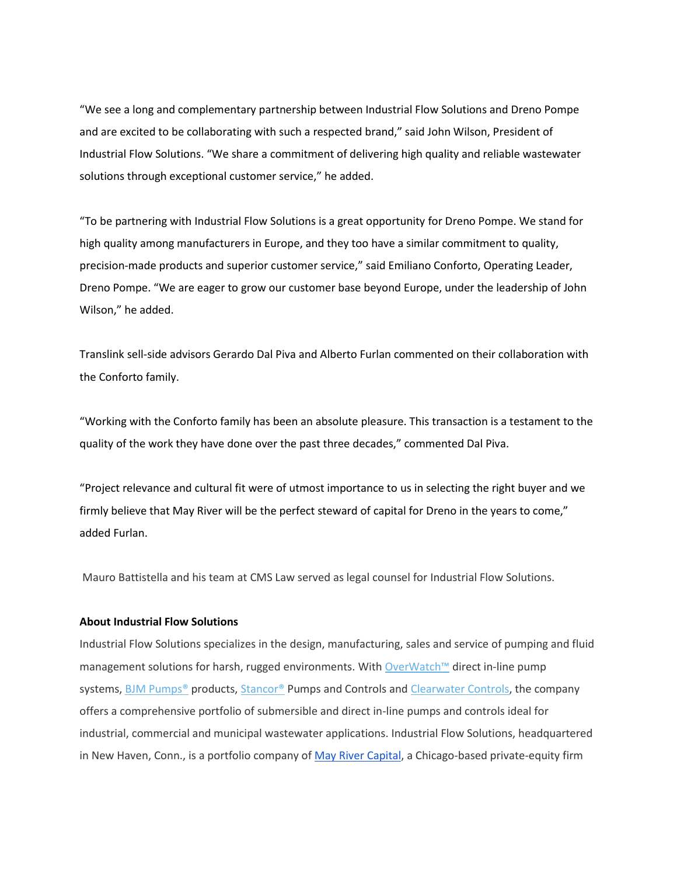"We see a long and complementary partnership between Industrial Flow Solutions and Dreno Pompe and are excited to be collaborating with such a respected brand," said John Wilson, President of Industrial Flow Solutions. "We share a commitment of delivering high quality and reliable wastewater solutions through exceptional customer service," he added.

"To be partnering with Industrial Flow Solutions is a great opportunity for Dreno Pompe. We stand for high quality among manufacturers in Europe, and they too have a similar commitment to quality, precision-made products and superior customer service," said Emiliano Conforto, Operating Leader, Dreno Pompe. "We are eager to grow our customer base beyond Europe, under the leadership of John Wilson," he added.

Translink sell-side advisors Gerardo Dal Piva and Alberto Furlan commented on their collaboration with the Conforto family.

"Working with the Conforto family has been an absolute pleasure. This transaction is a testament to the quality of the work they have done over the past three decades," commented Dal Piva.

"Project relevance and cultural fit were of utmost importance to us in selecting the right buyer and we firmly believe that May River will be the perfect steward of capital for Dreno in the years to come," added Furlan.

Mauro Battistella and his team at CMS Law served as legal counsel for Industrial Flow Solutions.

## **About Industrial Flow Solutions**

Industrial Flow Solutions specializes in the design, manufacturing, sales and service of pumping and fluid management solutions for harsh, rugged environments. With [OverWatch™](https://flowsolutions.com/products/engineered-systems/) direct in-line pump systems, BJM Pumps<sup>®</sup> products, [Stancor®](https://flowsolutions.com/stancor-pumps-controls/) Pumps and Controls an[d Clearwater Controls,](https://clearwatercontrols.co.uk/) the company offers a comprehensive portfolio of submersible and direct in-line pumps and controls ideal for industrial, commercial and municipal wastewater applications. Industrial Flow Solutions, headquartered in New Haven, Conn., is a portfolio company of [May River Capital,](https://mayrivercapital.com/) a Chicago-based private-equity firm